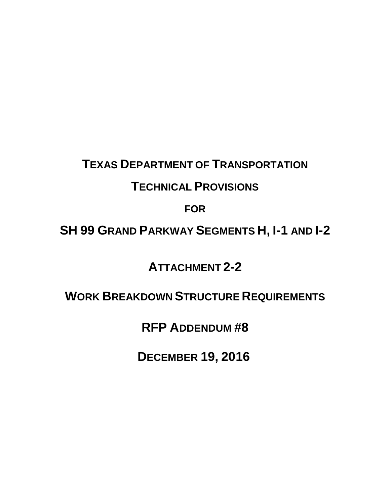# **TEXAS DEPARTMENT OF TRANSPORTATION**

# **TECHNICAL PROVISIONS**

**FOR**

# **SH 99 GRAND PARKWAY SEGMENTS H, I-1 AND I-2**

**ATTACHMENT 2-2** 

# **WORK BREAKDOWN STRUCTURE REQUIREMENTS**

 **RFP ADDENDUM #8** 

**DECEMBER 19, 2016**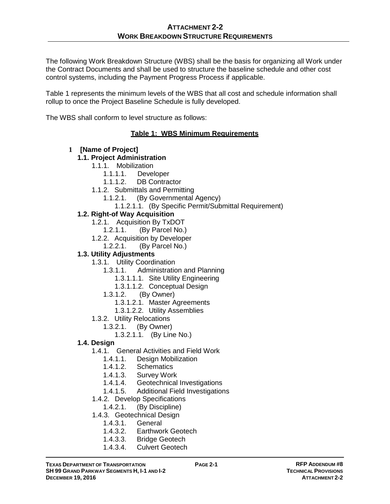The following Work Breakdown Structure (WBS) shall be the basis for organizing all Work under the Contract Documents and shall be used to structure the baseline schedule and other cost control systems, including the Payment Progress Process if applicable.

Table 1 represents the minimum levels of the WBS that all cost and schedule information shall rollup to once the Project Baseline Schedule is fully developed.

The WBS shall conform to level structure as follows:

#### **Table 1: WBS Minimum Requirements**

#### **1 [Name of Project]**

### **1.1. Project Administration**

- 1.1.1. Mobilization
	- 1.1.1.1. Developer
	- 1.1.1.2. DB Contractor
- 1.1.2. Submittals and Permitting
	- 1.1.2.1. (By Governmental Agency)
		- 1.1.2.1.1. (By Specific Permit/Submittal Requirement)

#### **1.2. Right-of Way Acquisition**

- 1.2.1. Acquisition By TxDOT
	- 1.2.1.1. (By Parcel No.)
- 1.2.2. Acquisition by Developer
	- 1.2.2.1. (By Parcel No.)

#### **1.3. Utility Adjustments**

- 1.3.1. Utility Coordination
	- 1.3.1.1. Administration and Planning
		- 1.3.1.1.1. Site Utility Engineering
		- 1.3.1.1.2. Conceptual Design
	- 1.3.1.2. (By Owner)
		- 1.3.1.2.1. Master Agreements
		- 1.3.1.2.2. Utility Assemblies
- 1.3.2. Utility Relocations
	- 1.3.2.1. (By Owner)

1.3.2.1.1. (By Line No.)

- **1.4. Design**
	- 1.4.1. General Activities and Field Work
		- 1.4.1.1. Design Mobilization
		- 1.4.1.2. Schematics
		- 1.4.1.3. Survey Work
		- 1.4.1.4. Geotechnical Investigations
		- 1.4.1.5. Additional Field Investigations
	- 1.4.2. Develop Specifications
	- 1.4.2.1. (By Discipline)
	- 1.4.3. Geotechnical Design
		- 1.4.3.1. General
		- 1.4.3.2. Earthwork Geotech
		- 1.4.3.3. Bridge Geotech
		- 1.4.3.4. Culvert Geotech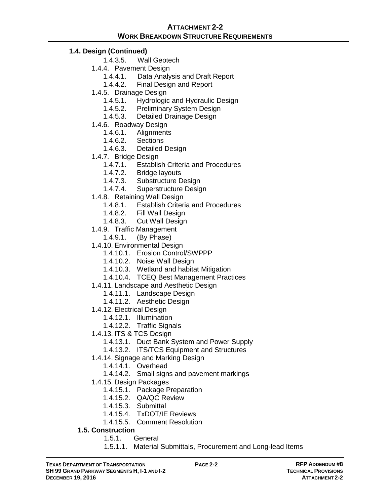### **1.4. Design (Continued)**

- 1.4.3.5. Wall Geotech
- 1.4.4. Pavement Design
	- 1.4.4.1. Data Analysis and Draft Report<br>1.4.4.2. Final Design and Report
	- Final Design and Report
- 1.4.5. Drainage Design
	- 1.4.5.1. Hydrologic and Hydraulic Design
	- 1.4.5.2. Preliminary System Design
	- 1.4.5.3. Detailed Drainage Design
- 1.4.6. Roadway Design
	- 1.4.6.1. Alignments
	- 1.4.6.2. Sections
	- 1.4.6.3. Detailed Design
- 1.4.7. Bridge Design
	- 1.4.7.1. Establish Criteria and Procedures<br>1.4.7.2. Bridge lavouts
		- **Bridge layouts**
	- 1.4.7.3. Substructure Design
	- 1.4.7.4. Superstructure Design
- 1.4.8. Retaining Wall Design
	- 1.4.8.1. Establish Criteria and Procedures
	- 1.4.8.2. Fill Wall Design
	- 1.4.8.3. Cut Wall Design
- 1.4.9. Traffic Management
	- 1.4.9.1. (By Phase)
- 1.4.10. Environmental Design
	- 1.4.10.1. Erosion Control/SWPPP
	- 1.4.10.2. Noise Wall Design
	- 1.4.10.3. Wetland and habitat Mitigation
	- 1.4.10.4. TCEQ Best Management Practices
- 1.4.11. Landscape and Aesthetic Design
	- 1.4.11.1. Landscape Design
	- 1.4.11.2. Aesthetic Design
- 1.4.12. Electrical Design
	- 1.4.12.1. Illumination
	- 1.4.12.2. Traffic Signals
- 1.4.13. ITS & TCS Design
	- 1.4.13.1. Duct Bank System and Power Supply
	- 1.4.13.2. ITS/TCS Equipment and Structures
- 1.4.14. Signage and Marking Design
	- 1.4.14.1. Overhead
	- 1.4.14.2. Small signs and pavement markings
- 1.4.15. Design Packages
	- 1.4.15.1. Package Preparation
	- 1.4.15.2. QA/QC Review
	- 1.4.15.3. Submittal
	- 1.4.15.4. TxDOT/IE Reviews
	- 1.4.15.5. Comment Resolution
- **1.5. Construction**
	- 1.5.1. General
	- 1.5.1.1. Material Submittals, Procurement and Long-lead Items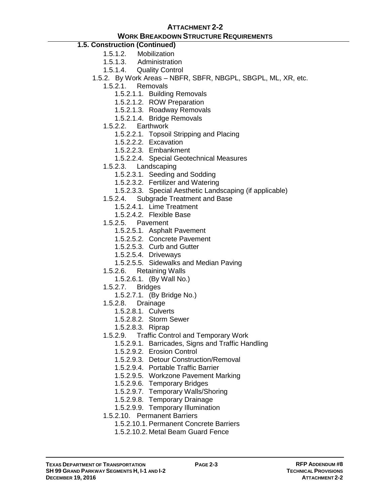# **ATTACHMENT 2-2**

### **WORK BREAKDOWN STRUCTURE REQUIREMENTS**

# **1.5. Construction (Continued)**

- 1.5.1.2. Mobilization
- 1.5.1.3. Administration
- 1.5.1.4. Quality Control
- 1.5.2. By Work Areas NBFR, SBFR, NBGPL, SBGPL, ML, XR, etc.
	- 1.5.2.1. Removals
		- 1.5.2.1.1. Building Removals
		- 1.5.2.1.2. ROW Preparation
		- 1.5.2.1.3. Roadway Removals
		- 1.5.2.1.4. Bridge Removals
	- 1.5.2.2. Earthwork
		- 1.5.2.2.1. Topsoil Stripping and Placing
		- 1.5.2.2.2. Excavation
		- 1.5.2.2.3. Embankment
		- 1.5.2.2.4. Special Geotechnical Measures
	- 1.5.2.3. Landscaping
		- 1.5.2.3.1. Seeding and Sodding
		- 1.5.2.3.2. Fertilizer and Watering
		- 1.5.2.3.3. Special Aesthetic Landscaping (if applicable)
	- 1.5.2.4. Subgrade Treatment and Base
		- 1.5.2.4.1. Lime Treatment
		- 1.5.2.4.2. Flexible Base
	- 1.5.2.5. Pavement
		- 1.5.2.5.1. Asphalt Pavement
		- 1.5.2.5.2. Concrete Pavement
		- 1.5.2.5.3. Curb and Gutter
		- 1.5.2.5.4. Driveways
		- 1.5.2.5.5. Sidewalks and Median Paving
	- 1.5.2.6. Retaining Walls
		- 1.5.2.6.1. (By Wall No.)
	- 1.5.2.7. Bridges
		- 1.5.2.7.1. (By Bridge No.)
	- 1.5.2.8. Drainage
		- 1.5.2.8.1. Culverts
		- 1.5.2.8.2. Storm Sewer
		- 1.5.2.8.3. Riprap
	- 1.5.2.9. Traffic Control and Temporary Work
		- 1.5.2.9.1. Barricades, Signs and Traffic Handling
		- 1.5.2.9.2. Erosion Control
		- 1.5.2.9.3. Detour Construction/Removal
		- 1.5.2.9.4. Portable Traffic Barrier
		- 1.5.2.9.5. Workzone Pavement Marking
		- 1.5.2.9.6. Temporary Bridges
		- 1.5.2.9.7. Temporary Walls/Shoring
		- 1.5.2.9.8. Temporary Drainage
		- 1.5.2.9.9. Temporary Illumination
	- 1.5.2.10. Permanent Barriers
		- 1.5.2.10.1. Permanent Concrete Barriers
		- 1.5.2.10.2. Metal Beam Guard Fence